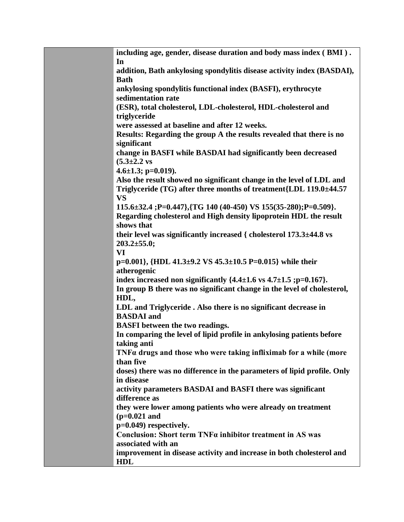| including age, gender, disease duration and body mass index (BMI).<br>In                  |
|-------------------------------------------------------------------------------------------|
| addition, Bath ankylosing spondylitis disease activity index (BASDAI),<br><b>Bath</b>     |
| ankylosing spondylitis functional index (BASFI), erythrocyte                              |
| sedimentation rate<br>(ESR), total cholesterol, LDL-cholesterol, HDL-cholesterol and      |
| triglyceride                                                                              |
| were assessed at baseline and after 12 weeks.                                             |
| Results: Regarding the group A the results revealed that there is no<br>significant       |
| change in BASFI while BASDAI had significantly been decreased                             |
| $(5.3 \pm 2.2 \text{ vs }$                                                                |
| 4.6 $\pm$ 1.3; p=0.019).                                                                  |
| Also the result showed no significant change in the level of LDL and                      |
| Triglyceride (TG) after three months of treatment{LDL 119.0±44.57                         |
| <b>VS</b><br>115.6±32.4; P=0.447}, {TG 140 (40-450) VS 155(35-280); P=0.509}.             |
| Regarding cholesterol and High density lipoprotein HDL the result                         |
| shows that                                                                                |
| their level was significantly increased { cholesterol 173.3±44.8 vs                       |
| $203.2 \pm 55.0$ ;                                                                        |
| VI<br>p=0.001}, {HDL 41.3±9.2 VS 45.3±10.5 P=0.015} while their                           |
| atherogenic                                                                               |
| index increased non significantly $\{4.4\pm1.6 \text{ vs } 4.7\pm1.5 \text{ ;p=0.167}\}.$ |
| In group B there was no significant change in the level of cholesterol,                   |
| HDL,                                                                                      |
| LDL and Triglyceride . Also there is no significant decrease in<br><b>BASDAI</b> and      |
| <b>BASFI</b> between the two readings.                                                    |
| In comparing the level of lipid profile in ankylosing patients before                     |
| taking anti                                                                               |
| $TNF\alpha$ drugs and those who were taking infliximab for a while (more                  |
| than five<br>doses) there was no difference in the parameters of lipid profile. Only      |
| in disease                                                                                |
| activity parameters BASDAI and BASFI there was significant                                |
| difference as                                                                             |
| they were lower among patients who were already on treatment                              |
| $(p=0.021$ and                                                                            |
| p=0.049) respectively.<br>Conclusion: Short term TNFa inhibitor treatment in AS was       |
| associated with an                                                                        |
| improvement in disease activity and increase in both cholesterol and                      |
| <b>HDL</b>                                                                                |